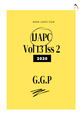





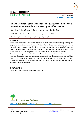

RESEARCH ARTICLE www.ijapc.com

**e-ISSN 2350-0204**

# **Pharmaceutical Standardization of** *Samaguna Bali Jarita Antardhuma Rasasindura* **Prepared by Modified Method**

Amit Mishra<sup>1\*</sup>, Neha Prajapati<sup>2</sup>, ReeteshRamnani<sup>3</sup> and K Shankar Rao<sup>4</sup>

1-3P.G. Scholar, Department of Rasashastra and Bhaishajya Kalpana, NIA Jaipur, Rajasthan, India

2P.G. Scholar, Department of Dravyaguna, NIA Jaipur, Rajasthan, India

# **ABSTRACT**

*Rasasindura* is a famous Ayurvedic *Kupipakwa Rasayana* formulation containing Mercury and Sulphur as major ingredients. Now a day's *Bahirdhuma Rasasindura* is in common practice but final product is expensive and yield is less. Moreover, the Sulphur fumes which come out during the preparation pollute the environment. This study was focused on preparation of *Rasasindura* in *Antardhuma* process and to establish standardization of the method.

Medicine was prepared in EMF (Electrical Muffle Furnace) method and observations were recorded. Obtained product was subjected to organoleptic and physico-chemical analysis.Final product was Red in colour as mentioned in classical text. Average yield of the product is 90.4%. *Antardhuma Rasasindura* preparation is simple, economical, better yielding, eco-friendly and superior to *Bahirdhuma* method.

# **KEYWORDS**

*Rasasindura, Antardhuma, Kupipakwa Rasayana*



Received 25/07/2020 Accepted 25/08/2020 Published 10/09/2020

\_\_\_\_\_\_\_\_\_\_\_\_\_\_\_\_\_\_\_\_\_\_\_\_\_\_\_\_\_\_\_\_\_\_\_\_\_\_\_\_\_\_\_\_\_\_\_\_\_\_\_\_\_\_\_\_\_\_\_\_\_\_\_\_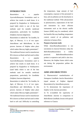

### **INTRODUCTION**

*Rasasindura* is a popular Ayurvedic*Rasayana* formulation used to achieve fast results in small doses. It is prepared by *Kupipakwa* in *Valukayantra* (sand bath) which is one of the best methods used for metallic medicinal preparations, particularly for *Gandhaka* (Sulphur) *Jaarana* (digestion).

*Rasasindura* is indeed the "*Sa Gandha, Sa Agni*, of Mercury. It is of two types-*Antardhuma* and *Bahirdhuma*. In this process *Jaarana* of Sulphur takes place which makes Mercury highly potentiated  $<sup>1</sup>$ .</sup> The traditional furnace used to manufacture RS is known as *bhatti* and fuel used is either *Rasasindura* is a popular Ayurvedic*Rasayana* formulation used to achieve fast results in small doses. It is prepared by *Kupipakwa* in *Valukayantra* (sand bath) which is one of the best methods used for metallic medicinal preparations, particularly for *Gandhaka* (Sulphur) *Jaarana* (digestion).

*Rasasindura* is indeed the "*Sa Gandha, Sa Agni*, of Mercury. It is of two types-*Antardhuma* and *Bahirdhuma*. In this process *Jaarana* of Sulphur takes place which makes Mercury highly potentiated  $<sup>1</sup>$ .</sup> The traditional furnace used to manufacture RS is known as *bhatti* and fuel used is either hard or soft coal. Difficulty in controlling the temperature, large amount of fuel consumption, exposure of the personnel to heat, and air pollution are the drawbacks in the traditional method. With advancement in pharmaceutics, replacement of the fuel and instrument by more efficient instruments such as the electric muffle furnace (EMF) may be considered, which has benefits like easy handling, temperature control, control of air pollution, and reduction in human effort.

#### **Purpose of present study**:

While *AntardhumaRasasindura* is not uncommon in classical literature, today the *BahirdhumaRasasindura* is widely practiced. *BahirdhumaRasasindura* product is expensive and yield is also less. Moreover, the Sulphur fumes which come out during the preparation pollute the environment.

# **AIMS AND OBJECTIVES**

1) Pharmaceutical standardization of *Samaguna Gandhaka Jaarita Rasasindura*  (equal amount of Sulphur digested *Rasasindura*) by *Antardhuma* process

2) To demonstrate the importance of *Sulphur* in the *Jaarana* procedure.

3) To re-establish the superiority of *Antardhuma Jaarana* in comparison to *Bahirdhuma Gandhaka Jarana* with special reference to Classics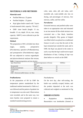

# **MATERIALS AND METHODS**

#### **Materials used:**

- Purified Mercury: 25 grams
- Purified Sulphur : 25 grams

 *Kupi* (glass bottle coated with 7 layers of mud-smeared cloth, capacity:  $750 \text{ mL}^2$ ,

 EMF- inner hearth (length: 15 cm, breadth: 15 cm, depth: 30 cm, max. temp. capacity: 1000°C) were collected as per the requirement.

#### **Method:**

The preparation of RS is divided into three stages, namely, preoperative (*Purvakarma*), operative (*Prdhanakarma*), and postoperative (*Paschatkarma*) stages. RS was subjected to various organoleptic and physicochemical analyses like texture, color, taste, odor, pH, ash value, acidinsoluble ash, water-soluble ash, loss on drying, and percentages of mercury, free mercury, sulfur, and free sulfur.

#### *Purvakarma*

Extracted mercury and purified sulfur were taken in an appropriate ratio and triturated in an iron mortar till the whole mixture was converted into a fine black, lusterless powder (*Kajjali*). Fifty grams of *Kajjali* was filled which was placed on a traditional furnace in such a way that the neck of the kupi remained just outside the sand, and in EMF, the *Kupi* was placed in the center in such a way that the *kupi* could receive equal distribution of heat. Corking of *kupi* was done before we switch on the EMF.

| <b>Table 1</b> Temperaturegradation and time duration                                                                                                                                                                                                                                                                                                                                  |                                          |         |  |  |  |
|----------------------------------------------------------------------------------------------------------------------------------------------------------------------------------------------------------------------------------------------------------------------------------------------------------------------------------------------------------------------------------------|------------------------------------------|---------|--|--|--|
| <i>Agni</i> (flame/heat)                                                                                                                                                                                                                                                                                                                                                               | Standard temperatures of Krama<br>Agni   | EMF(hr) |  |  |  |
| <i>Mrudu</i> (mild)                                                                                                                                                                                                                                                                                                                                                                    | Till $250^{\circ}$ C                     | 18      |  |  |  |
| <i>Madhyama</i> (moderate)                                                                                                                                                                                                                                                                                                                                                             | 250 <sup>o</sup> C to 450 <sup>o</sup> C | 18      |  |  |  |
| Tivra(severe)                                                                                                                                                                                                                                                                                                                                                                          | $450^{\circ}$ C to 640 <sup>o</sup> C    | 18      |  |  |  |
| Total                                                                                                                                                                                                                                                                                                                                                                                  |                                          | 54      |  |  |  |
| $\Gamma_{\rm ML}$ $\Gamma_{\rm L}$ $\Gamma_{\rm L}$ $\Gamma_{\rm L}$ $\Gamma_{\rm L}$ $\Gamma_{\rm L}$ $\Gamma_{\rm L}$ $\Gamma_{\rm L}$ $\Gamma_{\rm L}$ $\Gamma_{\rm L}$ $\Gamma_{\rm L}$ $\Gamma_{\rm L}$ $\Gamma_{\rm L}$ $\Gamma_{\rm L}$ $\Gamma_{\rm L}$ $\Gamma_{\rm L}$ $\Gamma_{\rm L}$ $\Gamma_{\rm L}$ $\Gamma_{\rm L}$ $\Gamma_{\rm L}$ $\Gamma_{\rm L}$ $\Gamma_{\rm L}$ |                                          |         |  |  |  |

 $\mathcal{L}_\mathcal{L}$  , and the contribution of the contribution of the contribution of the contribution of the contribution of the contribution of the contribution of the contribution of the contribution of the contribution of

EMF : Electrical muffle furnace ; hr: Hour

#### *Pradhankarma*

In the preparation of RS by EMF the temperature pattern standardized by the traditional method mentioned in Table no.1 was followed and the pattern of gradual rise in temperature was also used. Observations were recorded, and in the same way, two more batches were prepared to ensure a standard manufacturing process.

#### *Paschatkarma*

On the next day, after self-cooling, the bottle was carefully scraped, broken, and the product deposited at the neck was collected and weighed as mentioned in Fig 1.

### **OBSERVATIONS**

 *Kupipakwa Antardhuma Rasasindura* was *kanthastha* (formed at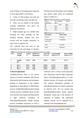

neck of flask), as the temperature ranged up to *Tivra Agni* (640<sup>o</sup>C at 54<sup>th</sup> hour).

 Colour of final product was dark red and after powdering colour was pale red.

 There was no residue at the bottom assuring temperature was given for sufficient time period.

 Slight pungent gas was smelled after breaking the flask, probably of  $SO<sub>2</sub>$ (Sulphur dioxide). Sulphur may have reacted with the Oxygen molecules, as space were occupied by air.

RS, collected from the neck of and calculated for the percentage of absolute the *Kupi* from all the batches were weighed and relative yield which are mentioned below in Table no.2.

| <b>Table 2</b> Weight and yield (%) of EMF method |                |         |  |  |
|---------------------------------------------------|----------------|---------|--|--|
| Wt. of                                            | Wt. of Product | Yield % |  |  |
| Kajjali(gm.)                                      | (gm.)          |         |  |  |
| 50                                                | 44.8           | 89.6    |  |  |
| 50                                                | 45.6           | 91.2    |  |  |
| 50                                                | 45.2           | 90.4    |  |  |
| Avg                                               | 45.2           | 904     |  |  |

|                   | Table 3 Results of organoleptic tests |
|-------------------|---------------------------------------|
| <b>Parameters</b> | <b>Observation</b>                    |

| Texture                       | Compact          |
|-------------------------------|------------------|
| Colour (after<br>trituration) | Vermillion       |
| Taste                         | <b>Tasteless</b> |
| <b>Smell</b>                  | Indistinct       |

**Table 4** Consolidated data of Physico-chemical parameters of samples

| S.No.                   | Name of       | LOD in   | $pH(10\%$ w/v | <b>Total Ash</b><br>in $\%w/w$ | <b>Acid Insoluble</b><br>Ash in $w/w$ % | <b>Water Soluble</b><br>Ash in $w/w$ % |
|-------------------------|---------------|----------|---------------|--------------------------------|-----------------------------------------|----------------------------------------|
|                         | <b>Sample</b> | $\%$     | suspension)   |                                |                                         |                                        |
|                         |               |          |               |                                |                                         |                                        |
|                         | Kajjali       | $0.35\%$ | 6.60          | $0.60\%$                       | 0.23%                                   | $0.27\%$                               |
|                         | <b>RS</b>     |          |               |                                |                                         |                                        |
|                         |               |          |               |                                |                                         |                                        |
|                         | $RS -1$       | $0.6\%$  | 6.98          | $0.50\%$                       | $0.27\%$                                | $0.20\%$                               |
| $\mathbf{3}$            | $RS -2$       | $0.5\%$  | 7.02          | $0.46\%$                       | $0.33\%$                                | $0.25\%$                               |
| $\overline{\mathbf{4}}$ | $RS -3$       | $0.5\%$  | 6.88          | 0.43%                          | $0.31\%$                                | $0.22\%$                               |

 $\mathcal{L}_\mathcal{L}$  , and the contribution of the contribution of the contribution of the contribution of the contribution of the contribution of the contribution of the contribution of the contribution of the contribution of

#### **Critical Explanation:**

*GandhakaJaarana* refers to the contact duration of melted *Gandhaka* with *Parada* followed by bond formation and subsequent burning or evaporation of free Sulphur depending on *Antardhuma* or *Bahirdhuma* process. In *BahirdhumaRasasindura* during *Jaarana* process *Gandhaka* burns out due to its reaction with oxygen and final product is HgS (artificial Cinnabar). In *AntardhumaRasasindura* during *Jaarana* process *Gandhaka* evaporates to form a

sublimate and is evenly mixed physically (not chemically) with the HgS compound. Hence *AntardhumaRasasindura* is a wellblended mixture of Cinnabar and Sulphur. The superior therapeutic qualities of *AntardhumaJaarana* are clearly mentioned in classical texts. We can assume that *AntardhumaRasasindura* attains superior therapeutic values due to the presence of sublimate of Sulphur. The sublimated Sulphur concept can be explained by a reference from *Anandakanda* text.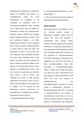*Anandakanda*<sup>3</sup> mentioned the sublimation process of *Gandhaka* and named it as *Gandhakasatwa* (using the word *Satwapatana* for *Gandhaka* is not acceptable as *Gandhaka* itself is *satwarupa).Anandakanda* inner meaning was to obtain purest form of Sulphur by sublimation. Present day pharmaceutical industries prepare 99.99% pure Sulphur mainly through sublimation process. This pure sublimated Sulphur is no doubt therapeutically effective. This is explained below with an example: *Gandhakasodhana* is mainly done by Ghee and milk. The explanation we give is, Ghee removes the toxic substances from *Gandhaka* and floats over milk while *Gandhaka* sinks to the bottom. Practically even after repeated hot water washing of purified Gandhaka some amount of Ghee and milk particles will be attached to *Gandhaka.Ghee* smell is also felt. As per the concept toxins are taken by Ghee which is still in contact with *Gandhaka* and traces of milk particles compromise the sterility as there can be a chance of bacterial growth. The purest form of Sulphur can be obtained by the sublimation process mentioned by *Anandakanda* as *Gandhakasatwa* which is therapeutically more effective.

*BahirdhumaRasasindura* is HgS

- And *AntardhumaRasasindura* is a well-
- This may be the first practical attempt of *KupipakwaAntardhumaRasasindura*.

### **DISCUSSION**

blended  $HgS + S$ 

Processing Mercury and Sulphur to form red coloured product similar to *Rasasindura* probably started from 8<sup>th</sup> century AD. They were prepared in *Lohasamputa* (Iron vessels), *Musha* (earthen crucibles), *Angara paka, putapaka* methods, etc. *Valukayantra* (sand bath) was first mentioned in *Rasahridayatantra* (10th AD). *KachaKupi* (glass flask or bottle) was first mentioned in *Rasendrachudamani* (12th AD)<sup>4</sup> . *KachaKupi* in *Valukayantra* for *Kupipakwa* was used from the period of *Rasa prakashasudhakara* (13th AD). According to *RasendracintamaniKupi* (flask or bottle) can be made from glass, clay, gold, iron, silver<sup>5</sup>. Rasasindura word first appeared in *Rasendracintamani* (15th AD)<sup>6</sup> . The very first instance of *GandhakaJaarana* was *Antardhuma*method processed in *yantra* similar to *Mushayantra*, described in Rasendramangalam (8th AD)<sup>7</sup>. According to *RasahridayaTantra* the method of *ParadaJaarana* where there is no loss in Mercury should be followed<sup>8</sup>, which is only possible in *Antardhuma*. The therapeutic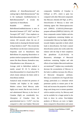

attributes of *AntardhumaJaarana<sup>9</sup>* are ranking high to *BahirdhumaJaarana*<sup>10</sup> due to the inadequate *GandhakaJaarana* in *Bahirdhumamethod*<sup>11</sup>. It reveals the superiority of *Antardhuma.*

Readable reference of *BahirdhumaGandhakaJaarana* is seen in *RasendraCintamani*  $(15<sup>th</sup> AD)<sup>12</sup>$  and *Rasa Tarangini* (20<sup>th</sup> AD)<sup>13</sup>. Clear emphasis on *BahirdhumaRasasindura* started from 17<sup>th</sup> century AD onwards where the use of *Salaka* (rod) in cleaning the blocked mouth of  $Kupi$  (bottle) is cited<sup>14</sup>. This reveals that *Antardhuma* was the most common process frequently used in *Rasashastra* than *Bahirdhuma* for preparing *Rasasindura* or product similar in preparation with different names like *Rasa bhasma, Kamadeva rasa, Udayabhaskara rasa, Mrutasuta*, etc.

Average yield in *Bahirdhum* method is mainly around 50 -55 % whereas in *Antardhuma*method it is found about 90 % which clearly indicates the better yield in *Antardhuma* method.

Analytical study revealed the presence of Cinnabar and Sulphur in the sample. Modern science listed Mercury under highly toxic metals. But the toxic levels of oral administered Mercury in the form of Cinnabar (HgS) are considerably low. Absorption of Cinnabar from the gastrointestinal tract is  $< 0.2\%$ <sup>15</sup>, very less compared to other non-Sulphur Mercurial

 $\mathcal{L}_\mathcal{L}$  , and the contribution of the contribution of the contribution of the contribution of the contribution of the contribution of the contribution of the contribution of the contribution of the contribution of

compounds. Solubility of Cinnabar is  $0.001g/L$  at  $20^{\circ}$ C, which is quite low compared with other Mercurial compounds like Mercuric chloride (30-70g/L at  $20^{\circ}$ C). Detoxification of Mercury is done with chelating agents like Dimercaptosuccinic acid (DMSA)  $(C_4H_6O_4S_2)$ , Dimercaptopropane sulfonate (DMPS)  $(C_3H_8O_3S_3)$ . All these compounds contain Sulphur and also food supplements containing Sulphur are recommended. Mercury has higher affinity towards Sulphur especially to thiols which leads to detoxification. Our body's natural detoxification system also works under this relation with the help of thiol complexes like glutathione  $(C_{10}H_{17}N_3O_6S)$ . In *Rasasastra*, advantages of Mercurial medicines containing Sulphur and side effects of non-Sulphur Mercurial medicines are mentioned<sup>16</sup>. Sulphur may considerably decrease the accumulation of Mercury in the body in addition increases the efficacy of Mercurial therapeutic attributes. Mercury is considered to be *Yogavahi* (fast acting), particularly as a stimulant which penetrates quickly to minute parts of the body and increases the properties of herbal drugs used along even in minute quantities with its catalytic activity. So, Mercury need not be available for a longer period in the body to show its action. Non-Sulphur products of Mercury are toxic in higher doses compared to *Rasasindura* and cannot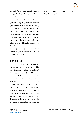be used for a longer periods even in therapeutic doses due to the risk of accumulation.

*SamagunaGandhakaJaarana, Dviguna* (double), *Shadguna* (six times), *Astaguna* (eight times), *dwadasaguna* (twelve times) 17 , *Sataguna* (hundred times) and *Sahasraguna* (thousand times) are therapeutically superior in increasing order of *Jaarana*. So, according to Ayurveda more the Sulphur content safer and effective is the Mercurial medicine. In *AntardhumaRasasinduraSulphur*

percentage is higher compared to *Bahirdhuma*, which ensures the safety of *AntardhumaRasasindura.*

### **CONCLUSION**

As per the critical study *Antardhuma* method was most commonly followed by the *Rasasastra* Siddhas (practitioners) for*Parada Jaarana* and *Sa-Agni Murchana* with *Gandhaka*. References on the importance and therapeutically superior attributes of *AntardhumaGandhakaJaarana* are cited in the texts. The preparation *AntardhumaRasasindura* is simple, economical, eco-friendly and better yielding compared to *Bahirdhuma* method. Toxicology and Clinical studies should be conducted to standardize the therapeutic

dose and usage of *AntardhumaRasasindura*.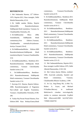

#### **REFERENCES**

1. Shri Sadananda Sharma,  $12<sup>th</sup>$  Edition-1979, Reprint-2012, Rasa tarangini, Delhi Motilal Banarasidas,.6/3-6.

2. Dr. Siddhi nandan Mishra, Reprint Edition2009, Rasendrachudamani, Siddhiprada Hindi translation, Varanasi, by Chaukhambha Orientalia,.4/6.

3. Dr.Siddhinandan Misra 2008, Anandakanda, Siddhiprada Hindi commentary,First Edition-,Varanasi, Chaukhambha orientalia.Kriyakaranadwitiya Visranti1/39-42.

4. Dr.SiddhinandanMishra Edition-2009 Rasendrachudamani,Siddhiprada Hindi translation,Reprint Varanasi,Chaukhambha 3/16

5. Dr.SiddhinandanMisra, Reedition-2011 Rasendrachintamani, Siddhiprada Hindi commentary, Varanasi Chowkhamba Sanskrit series.2/18.

6. . Dr.SiddhinandanMisra, Reedition-2011 Rasendrachintamani, Siddhiprada Hindi commentary, Varanasi Chowkhamba Sanskrit series.2/14.

7. Kaviraja H.S. Sharma, Reprint Edition-2008, Rasendramangalam of Nagarjuna Part-1,Hindi and English Translation, Varanasi ,Chaukhambha Orientalia,.4/196- 200.

8. Vaidya Raj Pavani Prasad Sharma ,First Edition-2003 Rasa HridayaTantra,Hindi

 $\mathcal{L}_\mathcal{L}$  , and the contribution of the contribution of the contribution of the contribution of the contribution of the contribution of the contribution of the contribution of the contribution of the contribution of

commentary, Varanasi,Chowkhamba Sanskrit series,6/19.

9. Dr.SiddhinandanMisra, Reedition-2011 Rasendrachintamani, Siddhiprada Hindi commentary, Varanasi Chowkhamba Sanskrit series.8/10-11.

10. Dr.SiddhinandanMisra, Reedition-2011 Rasendrachintamani,Siddhiprada Hindi commentary, Varanasi Chowkhamba Sanskrit series3/47-49

11. Dr.SiddhinandanMisra, Reedition-2011 Rasendrachintamani,Siddhiprada Hindi commentary, Varanasi Chowkhamba Sanskrit series.8/12.

12. Dr.SiddhinandanMisra, Reedition-2011 Rasendrachintamani, Siddhiprada Hindi commentary, Varanasi Chowkhamba Sanskrit series.2/21-22.

13. Shri SadanandaSharma, Reprint-2012, Rasa tarangini twelfth Edition-1979, Delhi ,Motolal Banarasidas,.5/102-104

14. Shri Gulraj sharma Mishra, reedited-1999, Ayurveda prakasha, Sanskrit and Hindi commentary, Varanasi, Chaukhambha Bharati Academy,.1/399.

15. Jie Liu, Jing-Zheng Shi, Li-Mei Yu, Robert A. Goyer, and Michael P.Waalkes.Mercury in traditional Medicines:Is cinnabar toxicologically similar to common mercurials. ExpBiol Med (Maywood).2008 Jul;233(7):810- 7.PMID:18445765